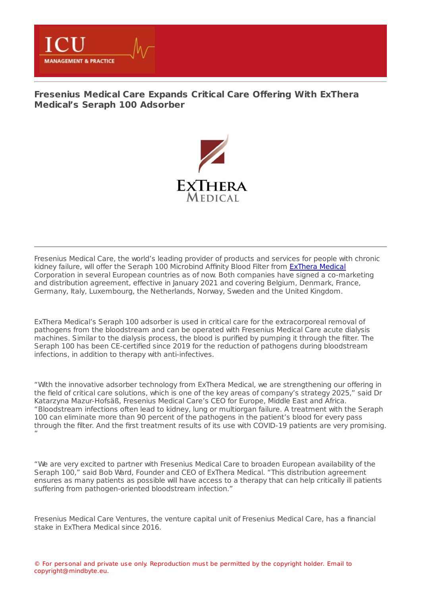

## **[Fresenius](https://healthmanagement.org/s/fresenius-medical-care-expands-critical-care-offering-with-exthera-medicals-seraph-100-adsorber) Medical Care Expands Critical Care Offering With ExThera Medical's Seraph 100 Adsorber**



Fresenius Medical Care, the world's leading provider of products and services for people with chronic kidney failure, will offer the Seraph 100 Microbind Affinity Blood Filter from [ExThera](https://healthmanagement.org/site/p/icu/exthera-medical-europe-b-v) Medical Corporation in several European countries as of now. Both companies have signed a co-marketing and distribution agreement, effective in January 2021 and covering Belgium, Denmark, France, Germany, Italy, Luxembourg, the Netherlands, Norway, Sweden and the United Kingdom.

ExThera Medical's Seraph 100 adsorber is used in critical care for the extracorporeal removal of pathogens from the bloodstream and can be operated with Fresenius Medical Care acute dialysis machines. Similar to the dialysis process, the blood is purified by pumping it through the filter. The Seraph 100 has been CE-certified since 2019 for the reduction of pathogens during bloodstream infections, in addition to therapy with anti-infectives.

"With the innovative adsorber technology from ExThera Medical, we are strengthening our offering in the field of critical care solutions, which is one of the key areas of company's strategy 2025," said Dr Katarzyna Mazur-Hofsäß, Fresenius Medical Care's CEO for Europe, Middle East and Africa. "Bloodstream infections often lead to kidney, lung or multiorgan failure. A treatment with the Seraph 100 can eliminate more than 90 percent of the pathogens in the patient's blood for every pass through the filter. And the first treatment results of its use with COVID-19 patients are very promising. "

"We are very excited to partner with Fresenius Medical Care to broaden European availability of the Seraph 100," said Bob Ward, Founder and CEO of ExThera Medical. "This distribution agreement ensures as many patients as possible will have access to a therapy that can help critically ill patients suffering from pathogen-oriented bloodstream infection."

Fresenius Medical Care Ventures, the venture capital unit of Fresenius Medical Care, has a financial stake in ExThera Medical since 2016.